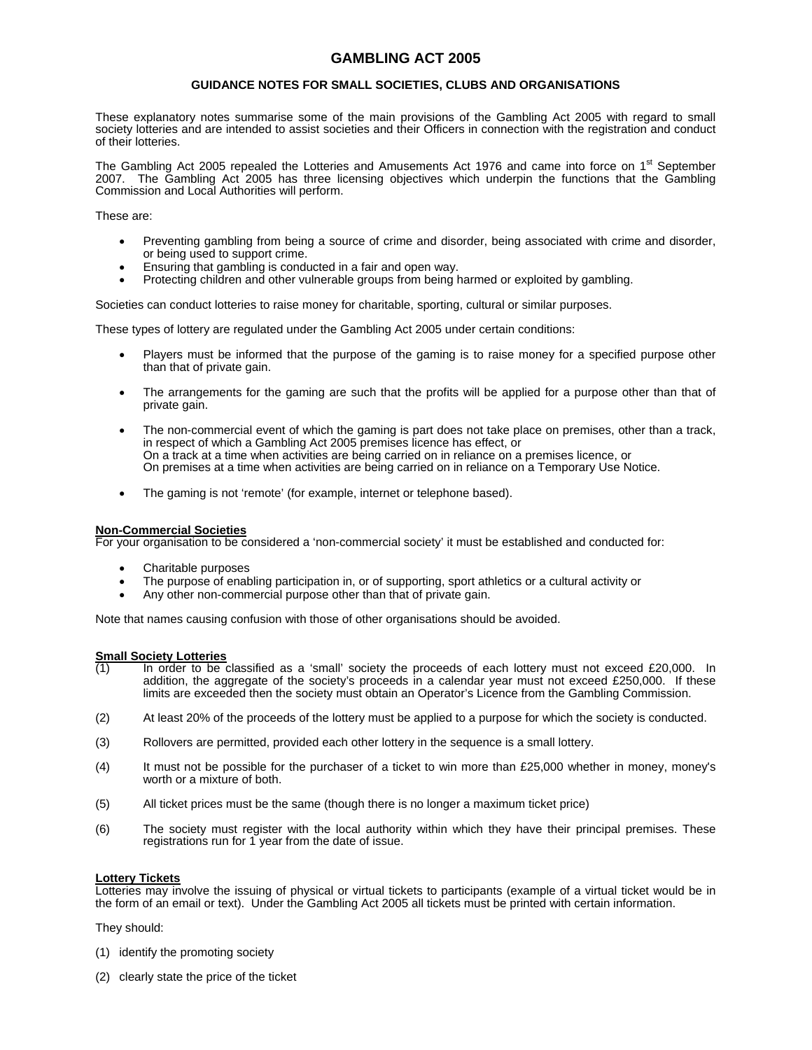# **GAMBLING ACT 2005**

## **GUIDANCE NOTES FOR SMALL SOCIETIES, CLUBS AND ORGANISATIONS**

These explanatory notes summarise some of the main provisions of the Gambling Act 2005 with regard to small society lotteries and are intended to assist societies and their Officers in connection with the registration and conduct of their lotteries.

The Gambling Act 2005 repealed the Lotteries and Amusements Act 1976 and came into force on 1<sup>st</sup> September 2007. The Gambling Act 2005 has three licensing objectives which underpin the functions that the Gambling Commission and Local Authorities will perform.

These are:

- Preventing gambling from being a source of crime and disorder, being associated with crime and disorder, or being used to support crime.
- Ensuring that gambling is conducted in a fair and open way.
- Protecting children and other vulnerable groups from being harmed or exploited by gambling.

Societies can conduct lotteries to raise money for charitable, sporting, cultural or similar purposes.

These types of lottery are regulated under the Gambling Act 2005 under certain conditions:

- Players must be informed that the purpose of the gaming is to raise money for a specified purpose other than that of private gain.
- The arrangements for the gaming are such that the profits will be applied for a purpose other than that of private gain.
- The non-commercial event of which the gaming is part does not take place on premises, other than a track, in respect of which a Gambling Act 2005 premises licence has effect, or On a track at a time when activities are being carried on in reliance on a premises licence, or On premises at a time when activities are being carried on in reliance on a Temporary Use Notice.
- The gaming is not 'remote' (for example, internet or telephone based).

#### **Non-Commercial Societies**

For your organisation to be considered a 'non-commercial society' it must be established and conducted for:

- Charitable purposes
- The purpose of enabling participation in, or of supporting, sport athletics or a cultural activity or
- Any other non-commercial purpose other than that of private gain.

Note that names causing confusion with those of other organisations should be avoided.

# **Small Society Lotteries**<br>(1) In order to be

- In order to be classified as a 'small' society the proceeds of each lottery must not exceed £20,000. In addition, the aggregate of the society's proceeds in a calendar year must not exceed £250,000. If these limits are exceeded then the society must obtain an Operator's Licence from the Gambling Commission.
- (2) At least 20% of the proceeds of the lottery must be applied to a purpose for which the society is conducted.
- (3) Rollovers are permitted, provided each other lottery in the sequence is a small lottery.
- (4) It must not be possible for the purchaser of a ticket to win more than £25,000 whether in money, money's worth or a mixture of both.
- (5) All ticket prices must be the same (though there is no longer a maximum ticket price)
- (6) The society must register with the local authority within which they have their principal premises. These registrations run for 1 year from the date of issue.

#### **Lottery Tickets**

Lotteries may involve the issuing of physical or virtual tickets to participants (example of a virtual ticket would be in the form of an email or text). Under the Gambling Act 2005 all tickets must be printed with certain information.

They should:

- (1) identify the promoting society
- (2) clearly state the price of the ticket